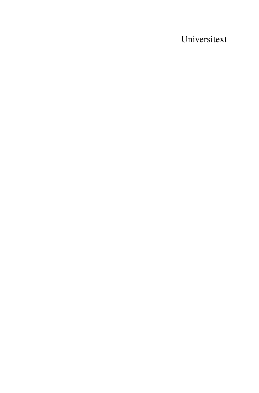# Universitext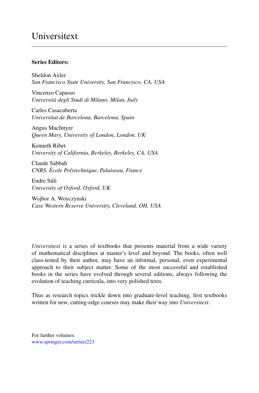### Universitext

#### **Series Editors:**

Sheldon Axler *San Francisco State University, San Francisco, CA, USA*

Vincenzo Capasso *Università degli Studi di Milano, Milan, Italy*

Carles Casacuberta *Universitat de Barcelona, Barcelona, Spain*

Angus MacIntyre *Queen Mary, University of London, London, UK*

Kenneth Ribet *University of California, Berkeley, Berkeley, CA, USA*

Claude Sabbah *CNRS, École Polytechnique, Palaiseau, France*

Endre Süli *University of Oxford, Oxford, UK*

Wojbor A. Woyczynski *Case Western Reserve University, Cleveland, OH, USA*

*Universitext* is a series of textbooks that presents material from a wide variety of mathematical disciplines at master's level and beyond. The books, often well class-tested by their author, may have an informal, personal, even experimental approach to their subject matter. Some of the most successful and established books in the series have evolved through several editions, always following the evolution of teaching curricula, into very polished texts.

Thus as research topics trickle down into graduate-level teaching, first textbooks written for new, cutting-edge courses may make their way into *Universitext*.

For further volumes: [www.springer.com/series/223](http://www.springer.com/series/223)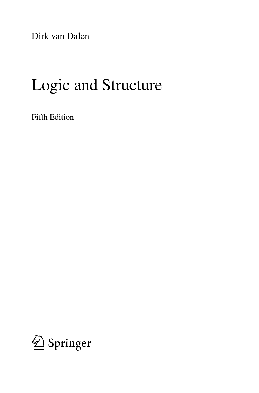Dirk van Dalen

# Logic and Structure

Fifth Edition

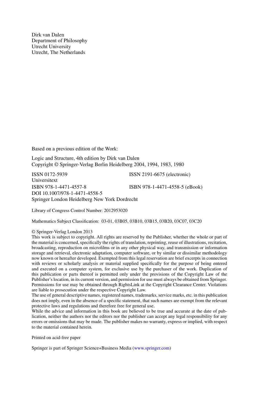Dirk van Dalen Department of Philosophy Utrecht University Utrecht, The Netherlands

Based on a previous edition of the Work:

Logic and Structure, 4th edition by Dirk van Dalen Copyright © Springer-Verlag Berlin Heidelberg 2004, 1994, 1983, 1980

ISSN 0172-5939 ISSN 2191-6675 (electronic) Universitext ISBN 978-1-4471-4557-8 ISBN 978-1-4471-4558-5 (eBook) DOI 10.1007/978-1-4471-4558-5 Springer London Heidelberg New York Dordrecht

Library of Congress Control Number: 2012953020

Mathematics Subject Classification: 03-01, 03B05, 03B10, 03B15, 03B20, 03C07, 03C20

© Springer-Verlag London 2013

This work is subject to copyright. All rights are reserved by the Publisher, whether the whole or part of the material is concerned, specifically the rights of translation, reprinting, reuse of illustrations, recitation, broadcasting, reproduction on microfilms or in any other physical way, and transmission or information storage and retrieval, electronic adaptation, computer software, or by similar or dissimilar methodology now known or hereafter developed. Exempted from this legal reservation are brief excerpts in connection with reviews or scholarly analysis or material supplied specifically for the purpose of being entered and executed on a computer system, for exclusive use by the purchaser of the work. Duplication of this publication or parts thereof is permitted only under the provisions of the Copyright Law of the Publisher's location, in its current version, and permission for use must always be obtained from Springer. Permissions for use may be obtained through RightsLink at the Copyright Clearance Center. Violations are liable to prosecution under the respective Copyright Law.

The use of general descriptive names, registered names, trademarks, service marks, etc. in this publication does not imply, even in the absence of a specific statement, that such names are exempt from the relevant protective laws and regulations and therefore free for general use.

While the advice and information in this book are believed to be true and accurate at the date of publication, neither the authors nor the editors nor the publisher can accept any legal responsibility for any errors or omissions that may be made. The publisher makes no warranty, express or implied, with respect to the material contained herein.

Printed on acid-free paper

Springer is part of Springer Science+Business Media ([www.springer.com\)](http://www.springer.com)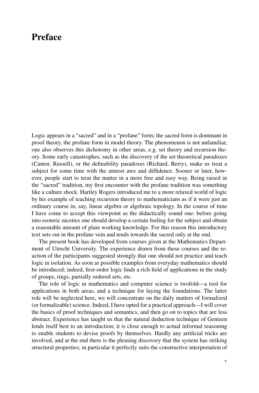#### **Preface**

Logic appears in a "sacred" and in a "profane" form; the sacred form is dominant in proof theory, the profane form in model theory. The phenomenon is not unfamiliar, one also observes this dichotomy in other areas, e.g. set theory and recursion theory. Some early catastrophes, such as the discovery of the set theoretical paradoxes (Cantor, Russell), or the definability paradoxes (Richard, Berry), make us treat a subject for some time with the utmost awe and diffidence. Sooner or later, however, people start to treat the matter in a more free and easy way. Being raised in the "sacred" tradition, my first encounter with the profane tradition was something like a culture shock. Hartley Rogers introduced me to a more relaxed world of logic by his example of teaching recursion theory to mathematicians as if it were just an ordinary course in, say, linear algebra or algebraic topology. In the course of time I have come to accept this viewpoint as the didactically sound one: before going into esoteric niceties one should develop a certain feeling for the subject and obtain a reasonable amount of plain working knowledge. For this reason this introductory text sets out in the profane vein and tends towards the sacred only at the end.

The present book has developed from courses given at the Mathematics Department of Utrecht University. The experience drawn from these courses and the reaction of the participants suggested strongly that one should not practice and teach logic in isolation. As soon as possible examples from everyday mathematics should be introduced; indeed, first-order logic finds a rich field of applications in the study of groups, rings, partially ordered sets, etc.

The role of logic in mathematics and computer science is twofold—a tool for applications in both areas, and a technique for laying the foundations. The latter role will be neglected here, we will concentrate on the daily matters of formalized (or formalizable) science. Indeed, I have opted for a practical approach—I will cover the basics of proof techniques and semantics, and then go on to topics that are less abstract. Experience has taught us that the natural deduction technique of Gentzen lends itself best to an introduction; it is close enough to actual informal reasoning to enable students to devise proofs by themselves. Hardly any artificial tricks are involved, and at the end there is the pleasing discovery that the system has striking structural properties; in particular it perfectly suits the constructive interpretation of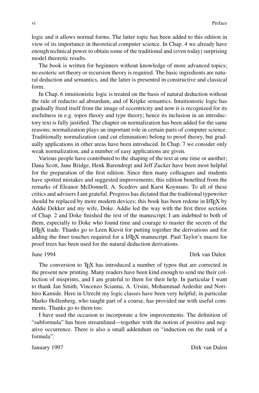logic and it allows normal forms. The latter topic has been added to this edition in view of its importance in theoretical computer science. In Chap. 4 we already have enough technical power to obtain some of the traditional and (even today) surprising model theoretic results.

The book is written for beginners without knowledge of more advanced topics; no esoteric set theory or recursion theory is required. The basic ingredients are natural deduction and semantics, and the latter is presented in constructive and classical form.

In Chap. 6 intuitionistic logic is treated on the basis of natural deduction without the rule of reductio ad absurdum, and of Kripke semantics. Intuitionistic logic has gradually freed itself from the image of eccentricity and now it is recognized for its usefulness in e.g. topos theory and type theory; hence its inclusion in an introductory text is fully justified. The chapter on normalization has been added for the same reasons; normalization plays an important role in certain parts of computer science. Traditionally normalization (and cut elimination) belong to proof theory, but gradually applications in other areas have been introduced. In Chap. 7 we consider only weak normalization, and a number of easy applications are given.

Various people have contributed to the shaping of the text at one time or another; Dana Scott, Jane Bridge, Henk Barendregt and Jeff Zucker have been most helpful for the preparation of the first edition. Since then many colleagues and students have spotted mistakes and suggested improvements; this edition benefited from the remarks of Eleanor McDonnell, A. Scedrov and Karst Koymans. To all of these critics and advisers I am grateful. Progress has dictated that the traditional typewriter should be replaced by more modern devices; this book has been redone in LATEX by Addie Dekker and my wife, Doke. Addie led the way with the first three sections of Chap. 2 and Doke finished the rest of the manuscript; I am indebted to both of them, especially to Doke who found time and courage to master the secrets of the LATEX trade. Thanks go to Leen Kievit for putting together the derivations and for adding the finer touches required for a LATEX manuscript. Paul Taylor's macro for proof trees has been used for the natural deduction derivations.

#### June 1994 Dirk van Dalen

The conversion to TEX has introduced a number of typos that are corrected in the present new printing. Many readers have been kind enough to send me their collection of misprints, and I am grateful to them for their help. In particular I want to thank Jan Smith, Vincenzo Scianna, A. Ursini, Mohammad Ardeshir and Norihiro Kamide. Here in Utrecht my logic classes have been very helpful; in particular Marko Hollenberg, who taught part of a course, has provided me with useful comments. Thanks go to them too.

I have used the occasion to incorporate a few improvements. The definition of "subformula" has been streamlined—together with the notion of positive and negative occurrence. There is also a small addendum on "induction on the rank of a formula".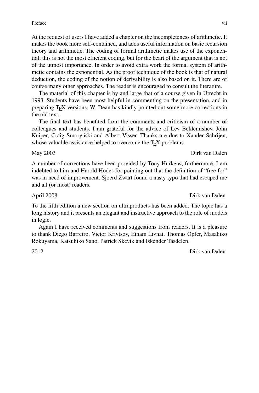At the request of users I have added a chapter on the incompleteness of arithmetic. It makes the book more self-contained, and adds useful information on basic recursion theory and arithmetic. The coding of formal arithmetic makes use of the exponential; this is not the most efficient coding, but for the heart of the argument that is not of the utmost importance. In order to avoid extra work the formal system of arithmetic contains the exponential. As the proof technique of the book is that of natural deduction, the coding of the notion of derivability is also based on it. There are of course many other approaches. The reader is encouraged to consult the literature.

The material of this chapter is by and large that of a course given in Utrecht in 1993. Students have been most helpful in commenting on the presentation, and in preparing TEX versions. W. Dean has kindly pointed out some more corrections in the old text.

The final text has benefited from the comments and criticism of a number of colleagues and students. I am grateful for the advice of Lev Beklemishev, John Kuiper, Craig Smoryński and Albert Visser. Thanks are due to Xander Schrijen, whose valuable assistance helped to overcome the T<sub>E</sub>X problems.

May 2003 Dirk van Dalen

A number of corrections have been provided by Tony Hurkens; furthermore, I am indebted to him and Harold Hodes for pointing out that the definition of "free for" was in need of improvement. Sjoerd Zwart found a nasty typo that had escaped me and all (or most) readers.

April 2008 Dirk van Dalen

To the fifth edition a new section on ultraproducts has been added. The topic has a long history and it presents an elegant and instructive approach to the role of models in logic.

Again I have received comments and suggestions from readers. It is a pleasure to thank Diego Barreiro, Victor Krivtsov, Einam Livnat, Thomas Opfer, Masahiko Rokuyama, Katsuhiko Sano, Patrick Skevik and Iskender Tasdelen.

2012 Dirk van Dalen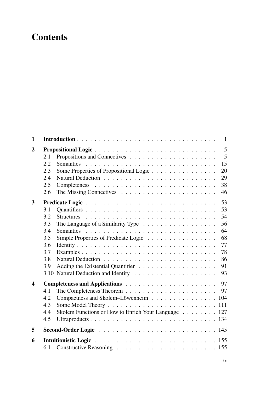## **Contents**

| 1            |                                                                                                                                                                                                                         | $\mathbf{1}$                                                   |
|--------------|-------------------------------------------------------------------------------------------------------------------------------------------------------------------------------------------------------------------------|----------------------------------------------------------------|
| $\mathbf{2}$ | 2.1<br>2.2.<br>Some Properties of Propositional Logic<br>2.3<br>2.4<br>2.5<br>2.6                                                                                                                                       | 5<br>5<br>15<br>20<br>29<br>38<br>46                           |
| 3            | 3.1<br>3.2<br><b>Structures</b><br>The Language of a Similarity Type $\dots \dots \dots \dots \dots \dots$<br>3.3<br><b>Semantics</b><br>3.4<br>Simple Properties of Predicate Logic<br>3.5<br>3.6<br>3.7<br>3.8<br>3.9 | 53<br>53<br>54<br>56<br>64<br>68<br>77<br>78<br>86<br>91<br>93 |
| 4<br>5       | 4.1<br>Compactness and Skolem-Löwenheim 104<br>4.2<br>4.3<br>Skolem Functions or How to Enrich Your Language 127<br>4.4<br>4.5                                                                                          | 97<br>97                                                       |
| 6            | 6.1                                                                                                                                                                                                                     |                                                                |